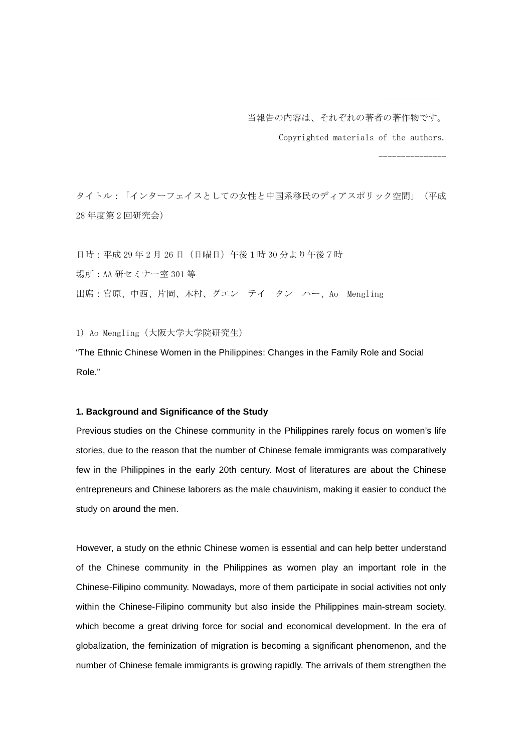当報告の内容は、それぞれの著者の著作物です。

Copyrighted materials of the authors.

---------------

---------------

タイトル:「インターフェイスとしての女性と中国系移民のディアスポリック空間」(平成 28 年度第 2 回研究会)

日時:平成29年2月26日 (日曜日)午後1時30分より午後7時 場所:AA 研セミナー室 301 等 出席:宮原、中西、片岡、木村、グエン テイ タン ハー、Ao Mengling

1) Ao Mengling(大阪大学大学院研究生)

"The Ethnic Chinese Women in the Philippines: Changes in the Family Role and Social Role."

## **1. Background and Significance of the Study**

Previous studies on the Chinese community in the Philippines rarely focus on women's life stories, due to the reason that the number of Chinese female immigrants was comparatively few in the Philippines in the early 20th century. Most of literatures are about the Chinese entrepreneurs and Chinese laborers as the male chauvinism, making it easier to conduct the study on around the men.

However, a study on the ethnic Chinese women is essential and can help better understand of the Chinese community in the Philippines as women play an important role in the Chinese-Filipino community. Nowadays, more of them participate in social activities not only within the Chinese-Filipino community but also inside the Philippines main-stream society, which become a great driving force for social and economical development. In the era of globalization, the feminization of migration is becoming a significant phenomenon, and the number of Chinese female immigrants is growing rapidly. The arrivals of them strengthen the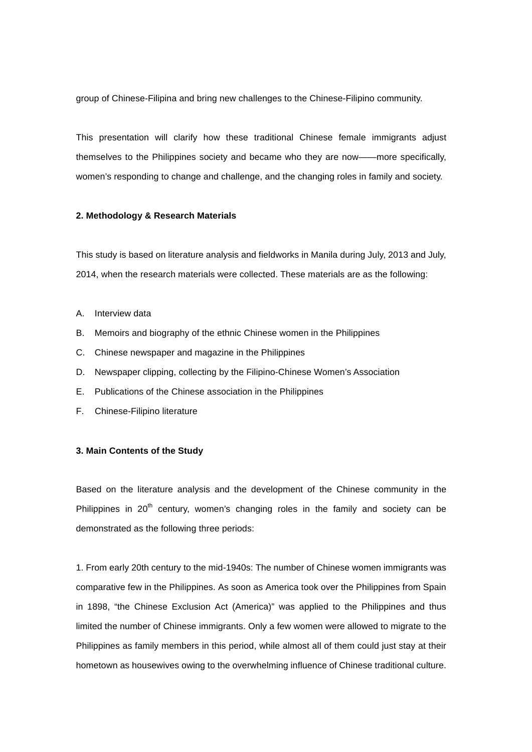group of Chinese-Filipina and bring new challenges to the Chinese-Filipino community.

This presentation will clarify how these traditional Chinese female immigrants adjust themselves to the Philippines society and became who they are now——more specifically, women's responding to change and challenge, and the changing roles in family and society.

## **2. Methodology & Research Materials**

This study is based on literature analysis and fieldworks in Manila during July, 2013 and July, 2014, when the research materials were collected. These materials are as the following:

- A. Interview data
- B. Memoirs and biography of the ethnic Chinese women in the Philippines
- C. Chinese newspaper and magazine in the Philippines
- D. Newspaper clipping, collecting by the Filipino-Chinese Women's Association
- E. Publications of the Chinese association in the Philippines
- F. Chinese-Filipino literature

## **3. Main Contents of the Study**

Based on the literature analysis and the development of the Chinese community in the Philippines in  $20<sup>th</sup>$  century, women's changing roles in the family and society can be demonstrated as the following three periods:

1. From early 20th century to the mid-1940s: The number of Chinese women immigrants was comparative few in the Philippines. As soon as America took over the Philippines from Spain in 1898, "the Chinese Exclusion Act (America)" was applied to the Philippines and thus limited the number of Chinese immigrants. Only a few women were allowed to migrate to the Philippines as family members in this period, while almost all of them could just stay at their hometown as housewives owing to the overwhelming influence of Chinese traditional culture.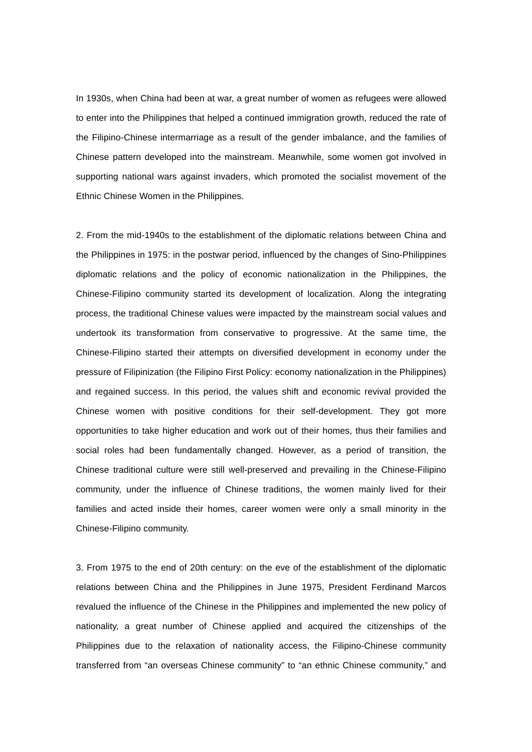In 1930s, when China had been at war, a great number of women as refugees were allowed to enter into the Philippines that helped a continued immigration growth, reduced the rate of the Filipino-Chinese intermarriage as a result of the gender imbalance, and the families of Chinese pattern developed into the mainstream. Meanwhile, some women got involved in supporting national wars against invaders, which promoted the socialist movement of the Ethnic Chinese Women in the Philippines.

2. From the mid-1940s to the establishment of the diplomatic relations between China and the Philippines in 1975: in the postwar period, influenced by the changes of Sino-Philippines diplomatic relations and the policy of economic nationalization in the Philippines, the Chinese-Filipino community started its development of localization. Along the integrating process, the traditional Chinese values were impacted by the mainstream social values and undertook its transformation from conservative to progressive. At the same time, the Chinese-Filipino started their attempts on diversified development in economy under the pressure of Filipinization (the Filipino First Policy: economy nationalization in the Philippines) and regained success. In this period, the values shift and economic revival provided the Chinese women with positive conditions for their self-development. They got more opportunities to take higher education and work out of their homes, thus their families and social roles had been fundamentally changed. However, as a period of transition, the Chinese traditional culture were still well-preserved and prevailing in the Chinese-Filipino community, under the influence of Chinese traditions, the women mainly lived for their families and acted inside their homes, career women were only a small minority in the Chinese-Filipino community.

3. From 1975 to the end of 20th century: on the eve of the establishment of the diplomatic relations between China and the Philippines in June 1975, President Ferdinand Marcos revalued the influence of the Chinese in the Philippines and implemented the new policy of nationality, a great number of Chinese applied and acquired the citizenships of the Philippines due to the relaxation of nationality access, the Filipino-Chinese community transferred from "an overseas Chinese community" to "an ethnic Chinese community," and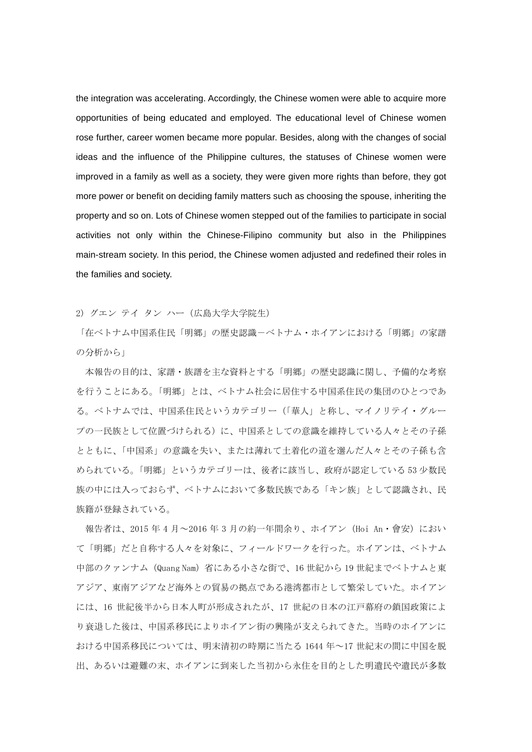the integration was accelerating. Accordingly, the Chinese women were able to acquire more opportunities of being educated and employed. The educational level of Chinese women rose further, career women became more popular. Besides, along with the changes of social ideas and the influence of the Philippine cultures, the statuses of Chinese women were improved in a family as well as a society, they were given more rights than before, they got more power or benefit on deciding family matters such as choosing the spouse, inheriting the property and so on. Lots of Chinese women stepped out of the families to participate in social activities not only within the Chinese-Filipino community but also in the Philippines main-stream society. In this period, the Chinese women adjusted and redefined their roles in the families and society.

2) グエン テイ タン ハー(広島大学大学院生)

「在ベトナム中国系住民「明郷」の歴史認識ーベトナム・ホイアンにおける「明郷」の家譜 の分析から」

本報告の目的は、家譜・族譜を主な資料とする「明郷」の歴史認識に関し、予備的な考察 を行うことにある。「明郷」とは、ベトナム社会に居住する中国系住民の集団のひとつであ る。ベトナムでは、中国系住民というカテゴリー(「華人」と称し、マイノリテイ・グルー プの一民族として位置づけられる)に、中国系としての意識を維持している人々とその子孫 とともに、「中国系」の意識を失い、または薄れて土着化の道を選んだ人々とその子孫も含 められている。「明郷」というカテゴリーは、後者に該当し、政府が認定している 53 少数民 族の中には入っておらず、ベトナムにおいて多数民族である「キン族」として認識され、民 族籍が登録されている。

報告者は、2015 年 4 月~2016 年 3 月の約一年間余り、ホイアン (Hoi An・會安) におい て「明郷」だと自称する人々を対象に、フィールドワークを行った。ホイアンは、ベトナム 中部のクァンナム (Quang Nam) 省にある小さな街で、16 世紀から 19 世紀までベトナムと東 アジア、東南アジアなど海外との貿易の拠点である港湾都市として繁栄していた。ホイアン には、16 世紀後半から日本人町が形成されたが、17 世紀の日本の江戸幕府の鎖国政策によ り衰退した後は、中国系移民によりホイアン街の興隆が支えられてきた。当時のホイアンに おける中国系移民については、明末清初の時期に当たる 1644 年~17 世紀末の間に中国を脱 出、あるいは避難の末、ホイアンに到来した当初から永住を目的とした明遺民や遺民が多数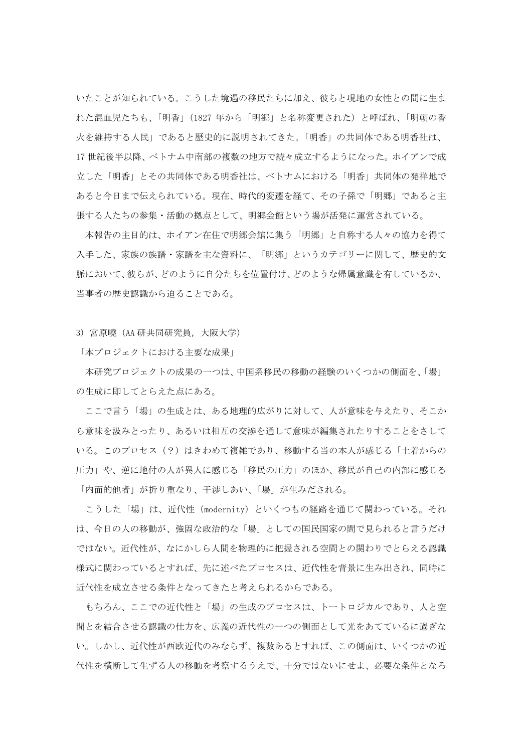いたことが知られている。こうした境遇の移民たちに加え、彼らと現地の女性との間に生ま れた混血児たちも、「明香」(1827 年から「明郷」と名称変更された)と呼ばれ、「明朝の香 火を維持する人民」であると歴史的に説明されてきた。「明香」の共同体である明香社は、 17 世紀後半以降、ベトナム中南部の複数の地方で続々成立するようになった。ホイアンで成 立した「明香」とその共同体である明香社は、ベトナムにおける「明香」共同体の発祥地で あると今日まで伝えられている。現在、時代的変遷を経て、その子孫で「明郷」であると主 張する人たちの参集・活動の拠点として、明郷会館という場が活発に運営されている。

 本報告の主目的は、ホイアン在住で明郷会館に集う「明郷」と自称する人々の協力を得て 入手した、家族の族譜・家譜を主な資料に、「明郷」というカテゴリーに関して、歴史的文 脈において、彼らが、どのように自分たちを位置付け、どのような帰属意識を有しているか、 当事者の歴史認識から迫ることである。

3) 宮原曉(AA 研共同研究員,大阪大学)

「本プロジェクトにおける主要な成果」

 本研究プロジェクトの成果の一つは、中国系移民の移動の経験のいくつかの側面を、「場」 の生成に即してとらえた点にある。

 ここで言う「場」の生成とは、ある地理的広がりに対して、人が意味を与えたり、そこか ら意味を汲みとったり、あるいは相互の交渉を通して意味が編集されたりすることをさして いる。このプロセス(?)はきわめて複雑であり、移動する当の本人が感じる「土着からの 圧力」や、逆に地付の人が異人に感じる「移民の圧力」のほか、移民が自己の内部に感じる 「内面的他者」が折り重なり、干渉しあい、「場」が生みだされる。

こうした「場」は、近代性(modernity)といくつもの経路を通じて関わっている。それ は、今日の人の移動が、強固な政治的な「場」としての国民国家の間で見られると言うだけ ではない。近代性が、なにかしら人間を物理的に把握される空間との関わりでとらえる認識 様式に関わっているとすれば、先に述べたプロセスは、近代性を背景に生み出され、同時に 近代性を成立させる条件となってきたと考えられるからである。

 もちろん、ここでの近代性と「場」の生成のプロセスは、トートロジカルであり、人と空 間とを結合させる認識の仕方を、広義の近代性の一つの側面として光をあてているに過ぎな い。しかし、近代性が西欧近代のみならず、複数あるとすれば、この側面は、いくつかの近 代性を横断して生ずる人の移動を考察するうえで、十分ではないにせよ、必要な条件となろ